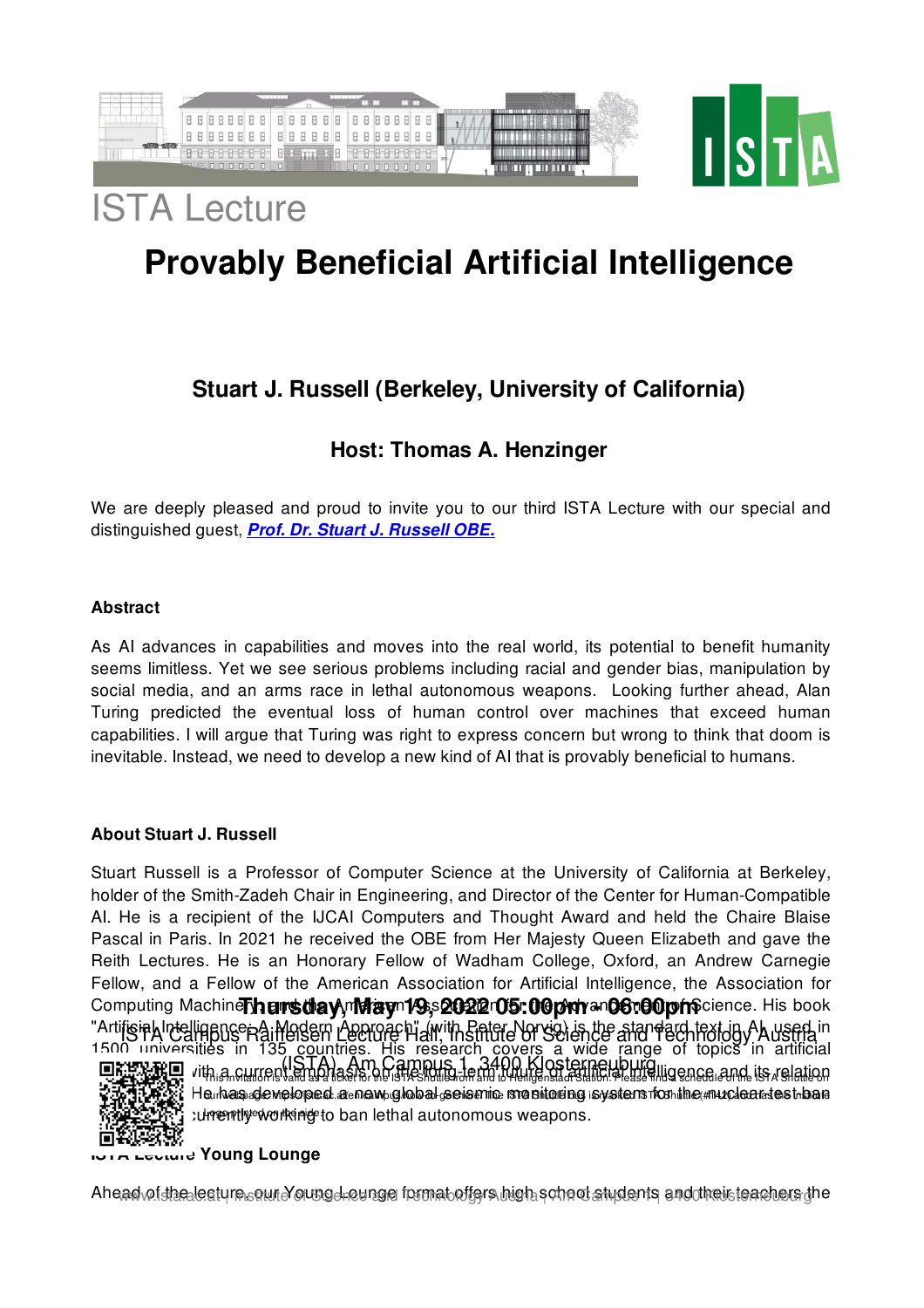

# ISTA Lecture

## **Provably Beneficial Artificial Intelligence**

### **Stuart J. Russell (Berkeley, University of California)**

### **Host: Thomas A. Henzinger**

We are deeply pleased and proud to invite you to our third ISTA Lecture with our special and distinguished guest, *Prof. Dr. Stuart J. [Russell](https://www2.eecs.berkeley.edu/Faculty/Homepages/russell.html) OBE.*

#### **Abstract**

As AI advances in capabilities and moves into the real world, its potential to benefit humanity seems limitless. Yet we see serious problems including racial and gender bias, manipulation by social media, and an arms race in lethal autonomous weapons. Looking further ahead, Alan Turing predicted the eventual loss of human control over machines that exceed human capabilities. I will argue that Turing was right to express concern but wrong to think that doom is inevitable. Instead, we need to develop a new kind of AI that is provably beneficial to humans.

#### **About Stuart J. Russell**

Stuart Russell is a Professor of Computer Science at the University of California at Berkeley, holder of the Smith-Zadeh Chair in Engineering, and Director of the Center for Human-Compatible AI. He is a recipient of the IJCAI Computers and Thought Award and held the Chaire Blaise Pascal in Paris. In 2021 he received the OBE from Her Majesty Queen Elizabeth and gave the Reith Lectures. He is an Honorary Fellow of Wadham College, Oxford, an Andrew Carnegie Fellow, and a Fellow of the American Association for Artificial Intelligence, the Association for Computing Machinery, and the American Association for the Advancement of Science. His book **Thursday, May 19, 2022 05:00pm - 06:00pm** "Artifisiah Intelligence na iModern Lecture Hiall, Institute of Science and Technology Austria in 1500 universities in 135 countries. His research covers a wide range of topics in artificial



Description of the Campus 1 3400 Klosterneuburg light concentration ൂടുപ്പെട്ടിയുള്ള Heunas de weloped a new global seis mic srasitoring system for the muclear test ban **ROGO printed is currently working to ban lethal autonomous weapons.** 

#### **ISTA Lecture Young Lounge**

Ahead<sub>v</sub>oi<del>dheale</del>aturn soun Young Lounge format offers high school students and theisteachers in e